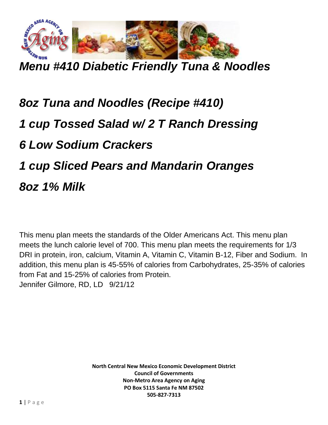

*Menu #410 Diabetic Friendly Tuna & Noodles*

## *8oz Tuna and Noodles (Recipe #410) 1 cup Tossed Salad w/ 2 T Ranch Dressing 6 Low Sodium Crackers 1 cup Sliced Pears and Mandarin Oranges 8oz 1% Milk*

This menu plan meets the standards of the Older Americans Act. This menu plan meets the lunch calorie level of 700. This menu plan meets the requirements for 1/3 DRI in protein, iron, calcium, Vitamin A, Vitamin C, Vitamin B-12, Fiber and Sodium. In addition, this menu plan is 45-55% of calories from Carbohydrates, 25-35% of calories from Fat and 15-25% of calories from Protein. Jennifer Gilmore, RD, LD 9/21/12

> **North Central New Mexico Economic Development District Council of Governments Non-Metro Area Agency on Aging PO Box 5115 Santa Fe NM 87502 505-827-7313**